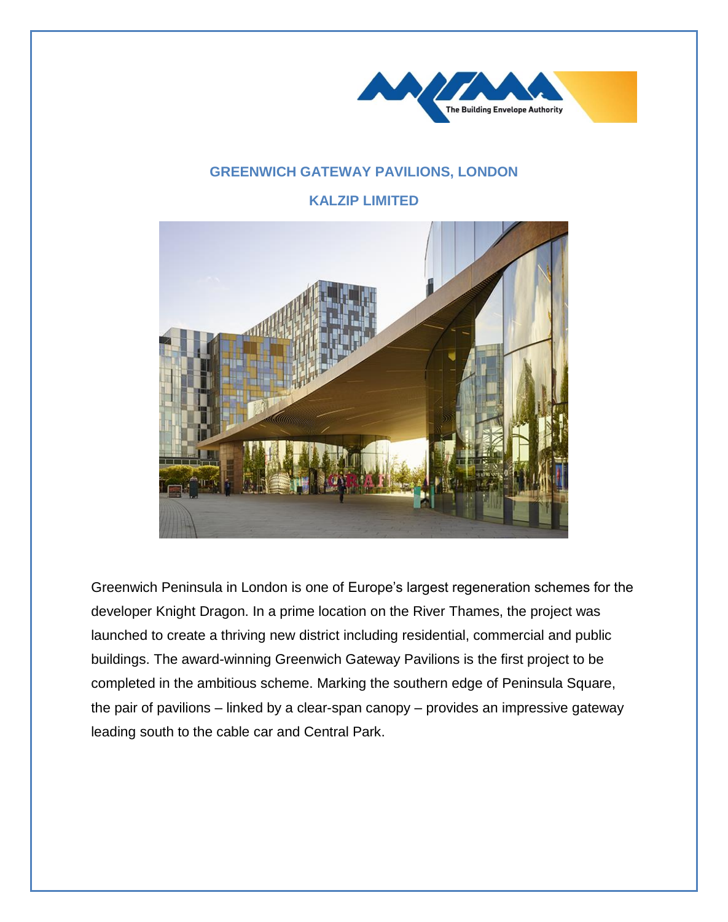

## **GREENWICH GATEWAY PAVILIONS, LONDON**

**KALZIP LIMITED**



Greenwich Peninsula in London is one of Europe's largest regeneration schemes for the developer Knight Dragon. In a prime location on the River Thames, the project was launched to create a thriving new district including residential, commercial and public buildings. The award-winning Greenwich Gateway Pavilions is the first project to be completed in the ambitious scheme. Marking the southern edge of Peninsula Square, the pair of pavilions – linked by a clear-span canopy – provides an impressive gateway leading south to the cable car and Central Park.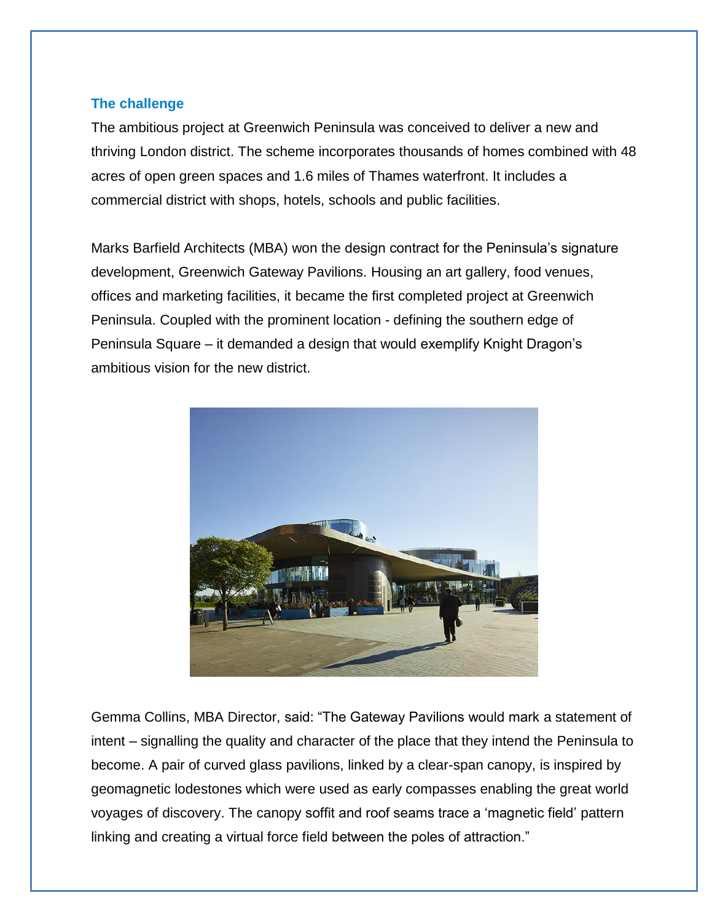## **The challenge**

The ambitious project at Greenwich Peninsula was conceived to deliver a new and thriving London district. The scheme incorporates thousands of homes combined with 48 acres of open green spaces and 1.6 miles of Thames waterfront. It includes a commercial district with shops, hotels, schools and public facilities.

Marks Barfield Architects (MBA) won the design contract for the Peninsula's signature development, Greenwich Gateway Pavilions. Housing an art gallery, food venues, offices and marketing facilities, it became the first completed project at Greenwich Peninsula. Coupled with the prominent location - defining the southern edge of Peninsula Square – it demanded a design that would exemplify Knight Dragon's ambitious vision for the new district.



Gemma Collins, MBA Director, said: "The Gateway Pavilions would mark a statement of intent – signalling the quality and character of the place that they intend the Peninsula to become. A pair of curved glass pavilions, linked by a clear-span canopy, is inspired by geomagnetic lodestones which were used as early compasses enabling the great world voyages of discovery. The canopy soffit and roof seams trace a 'magnetic field' pattern linking and creating a virtual force field between the poles of attraction."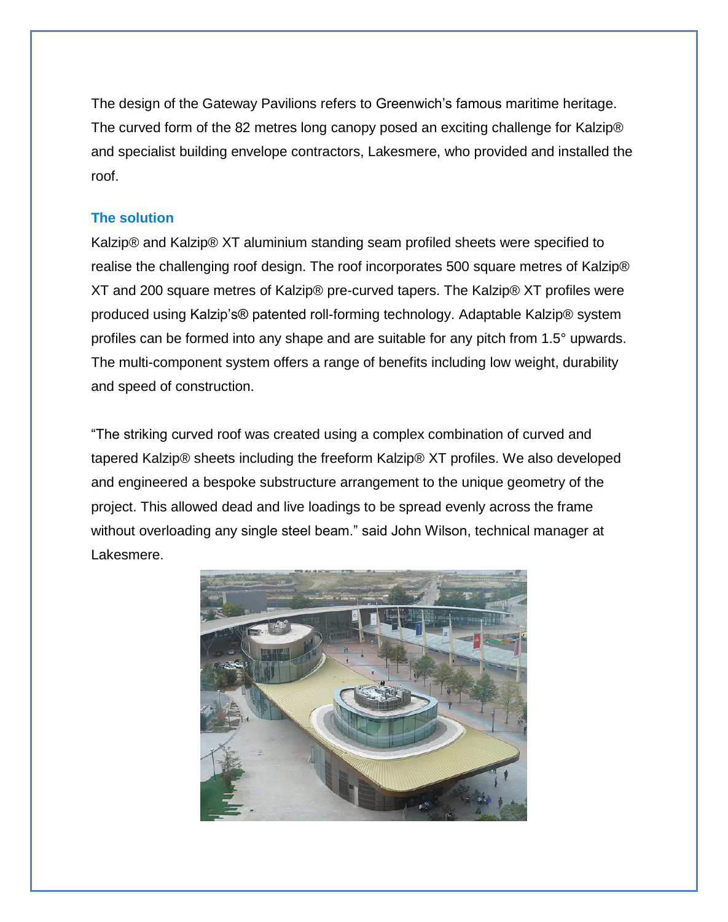The design of the Gateway Pavilions refers to Greenwich's famous maritime heritage. The curved form of the 82 metres long canopy posed an exciting challenge for Kalzip® and specialist building envelope contractors, Lakesmere, who provided and installed the roof.

## **The solution**

Kalzip® and Kalzip® XT aluminium standing seam profiled sheets were specified to realise the challenging roof design. The roof incorporates 500 square metres of Kalzip® XT and 200 square metres of Kalzip® pre-curved tapers. The Kalzip® XT profiles were produced using Kalzip's® patented roll-forming technology. Adaptable Kalzip® system profiles can be formed into any shape and are suitable for any pitch from 1.5° upwards. The multi-component system offers a range of benefits including low weight, durability and speed of construction.

"The striking curved roof was created using a complex combination of curved and tapered Kalzip® sheets including the freeform Kalzip® XT profiles. We also developed and engineered a bespoke substructure arrangement to the unique geometry of the project. This allowed dead and live loadings to be spread evenly across the frame without overloading any single steel beam." said John Wilson, technical manager at Lakesmere.

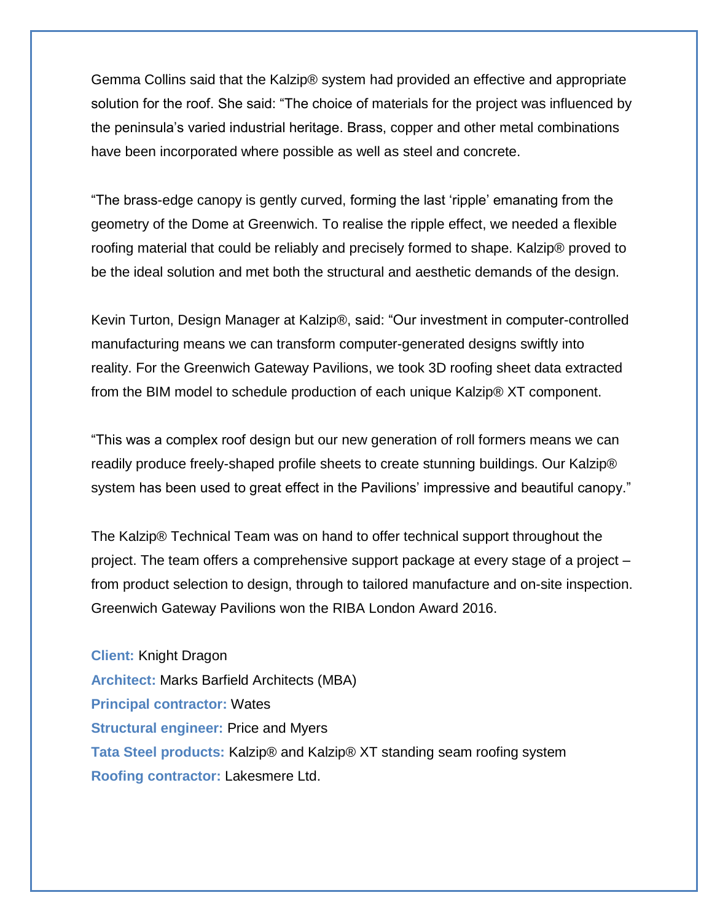Gemma Collins said that the Kalzip® system had provided an effective and appropriate solution for the roof. She said: "The choice of materials for the project was influenced by the peninsula's varied industrial heritage. Brass, copper and other metal combinations have been incorporated where possible as well as steel and concrete.

"The brass-edge canopy is gently curved, forming the last 'ripple' emanating from the geometry of the Dome at Greenwich. To realise the ripple effect, we needed a flexible roofing material that could be reliably and precisely formed to shape. Kalzip® proved to be the ideal solution and met both the structural and aesthetic demands of the design.

Kevin Turton, Design Manager at Kalzip®, said: "Our investment in computer-controlled manufacturing means we can transform computer-generated designs swiftly into reality. For the Greenwich Gateway Pavilions, we took 3D roofing sheet data extracted from the BIM model to schedule production of each unique Kalzip® XT component.

"This was a complex roof design but our new generation of roll formers means we can readily produce freely-shaped profile sheets to create stunning buildings. Our Kalzip® system has been used to great effect in the Pavilions' impressive and beautiful canopy."

The Kalzip® Technical Team was on hand to offer technical support throughout the project. The team offers a comprehensive support package at every stage of a project – from product selection to design, through to tailored manufacture and on-site inspection. Greenwich Gateway Pavilions won the RIBA London Award 2016.

**Client:** Knight Dragon **Architect:** Marks Barfield Architects (MBA) **Principal contractor:** Wates **Structural engineer:** Price and Myers **Tata Steel products:** Kalzip® and Kalzip® XT standing seam roofing system **Roofing contractor:** Lakesmere Ltd.